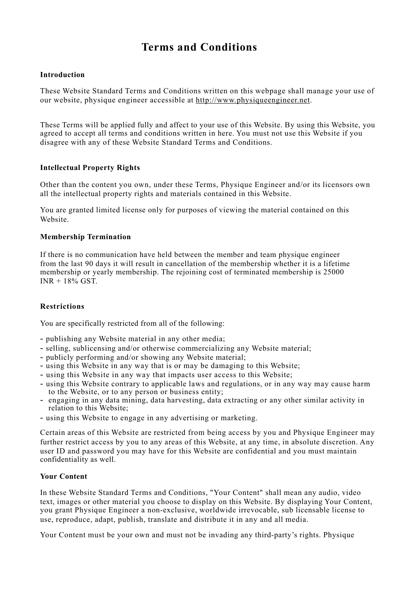# **Terms and Conditions**

## **Introduction**

These Website Standard Terms and Conditions written on this webpage shall manage your use of our website, physique engineer accessible at http://www.physiqueengineer.net.

These Terms will be applied fully and affect to your use of this Website. By using this Website, you agreed to accept all terms and conditions written in here. You must not use this Website if you disagree with any of these Website Standard Terms and Conditions.

# **Intellectual Property Rights**

Other than the content you own, under these Terms, Physique Engineer and/or its licensors own all the intellectual property rights and materials contained in this Website.

You are granted limited license only for purposes of viewing the material contained on this Website.

# **Membership Termination**

If there is no communication have held between the member and team physique engineer from the last 90 days it will result in cancellation of the membership whether it is a lifetime membership or yearly membership. The rejoining cost of terminated membership is 25000  $INR + 18\%$  GST.

#### **Restrictions**

You are specifically restricted from all of the following:

- publishing any Website material in any other media;
- selling, sublicensing and/or otherwise commercializing any Website material;
- publicly performing and/or showing any Website material;
- using this Website in any way that is or may be damaging to this Website;
- using this Website in any way that impacts user access to this Website;
- using this Website contrary to applicable laws and regulations, or in any way may cause harm to the Website, or to any person or business entity;
- engaging in any data mining, data harvesting, data extracting or any other similar activity in relation to this Website;
- using this Website to engage in any advertising or marketing.

Certain areas of this Website are restricted from being access by you and Physique Engineer may further restrict access by you to any areas of this Website, at any time, in absolute discretion. Any user ID and password you may have for this Website are confidential and you must maintain confidentiality as well.

#### **Your Content**

In these Website Standard Terms and Conditions, "Your Content" shall mean any audio, video text, images or other material you choose to display on this Website. By displaying Your Content, you grant Physique Engineer a non-exclusive, worldwide irrevocable, sub licensable license to use, reproduce, adapt, publish, translate and distribute it in any and all media.

Your Content must be your own and must not be invading any third-party's rights. Physique